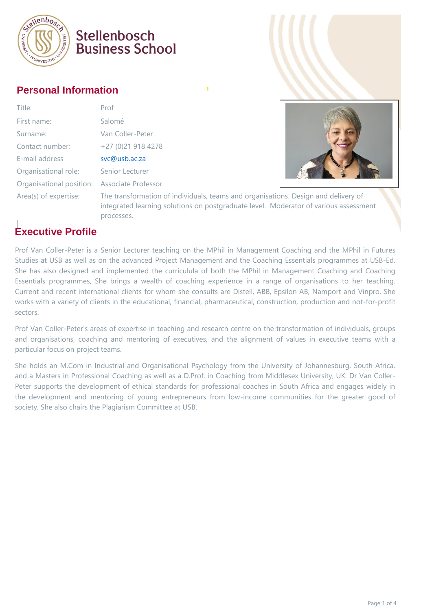

### Stellenbosch **Business School**

#### **Personal Information**

| Title:                                       | Prof                                                      |
|----------------------------------------------|-----------------------------------------------------------|
| First name:                                  | Salomé                                                    |
| Surname:                                     | Van Coller-Peter                                          |
| Contact number:                              | +27 (0)21 918 4278                                        |
| E-mail address                               | svc@usb.ac.za                                             |
| Organisational role:                         | Senior Lecturer                                           |
| Organisational position: Associate Professor |                                                           |
| Area(s) of expertise:                        | The transformation<br>the production of the conditions of |



tion of individuals, teams and organisations. Design and delivery of integrated learning solutions on postgraduate level. Moderator of various assessment processes.

### **Executive Profile**

Prof Van Coller-Peter is a Senior Lecturer teaching on the MPhil in Management Coaching and the MPhil in Futures Studies at USB as well as on the advanced Project Management and the Coaching Essentials programmes at USB-Ed. She has also designed and implemented the curriculula of both the MPhil in Management Coaching and Coaching Essentials programmes. She brings a wealth of coaching experience in a range of organisations to her teaching. Current and recent international clients for whom she consults are Distell, ABB, Epsilon AB, Namport and Vinpro. She works with a variety of clients in the educational, financial, pharmaceutical, construction, production and not-for-profit sectors.

Prof Van Coller-Peter's areas of expertise in teaching and research centre on the transformation of individuals, groups and organisations, coaching and mentoring of executives, and the alignment of values in executive teams with a particular focus on project teams.

She holds an M.Com in Industrial and Organisational Psychology from the University of Johannesburg, South Africa, and a Masters in Professional Coaching as well as a D.Prof. in Coaching from Middlesex University, UK. Dr Van Coller-Peter supports the development of ethical standards for professional coaches in South Africa and engages widely in the development and mentoring of young entrepreneurs from low-income communities for the greater good of society. She also chairs the Plagiarism Committee at USB.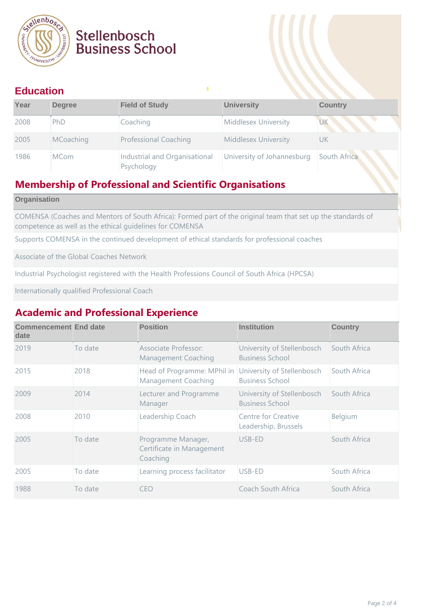

## Stellenbosch **Business School**

#### **Education**

| Year | <b>Degree</b> | <b>Field of Study</b>                       | <b>University</b>           | <b>Country</b> |
|------|---------------|---------------------------------------------|-----------------------------|----------------|
| 2008 | PhD           | Coaching                                    | Middlesex University        | <b>UK</b>      |
| 2005 | MCoaching     | <b>Professional Coaching</b>                | <b>Middlesex University</b> | UK             |
| 1986 | <b>MCom</b>   | Industrial and Organisational<br>Psychology | University of Johannesburg  | South Africa   |

#### **Membership of Professional and Scientific Organisations**

#### **Organisation**

COMENSA (Coaches and Mentors of South Africa): Formed part of the original team that set up the standards of competence as well as the ethical guidelines for COMENSA

Supports COMENSA in the continued development of ethical standards for professional coaches

Associate of the Global Coaches Network

Industrial Psychologist registered with the Health Professions Council of South Africa (HPCSA)

Internationally qualified Professional Coach

#### **Academic and Professional Experience**

| <b>Commencement End date</b><br>date |         | <b>Position</b>                                             | <b>Institution</b>                                   | <b>Country</b> |
|--------------------------------------|---------|-------------------------------------------------------------|------------------------------------------------------|----------------|
| 2019                                 | To date | Associate Professor:<br><b>Management Coaching</b>          | University of Stellenbosch<br><b>Business School</b> | South Africa   |
| 2015                                 | 2018    | Head of Programme: MPhil in<br>Management Coaching          | University of Stellenbosch<br><b>Business School</b> | South Africa   |
| 2009                                 | 2014    | Lecturer and Programme<br>Manager                           | University of Stellenbosch<br><b>Business School</b> | South Africa   |
| 2008                                 | 2010    | Leadership Coach                                            | Centre for Creative<br>Leadership, Brussels          | Belgium        |
| 2005                                 | To date | Programme Manager,<br>Certificate in Management<br>Coaching | USB-ED                                               | South Africa   |
| 2005                                 | To date | Learning process facilitator                                | USB-ED                                               | South Africa   |
| 1988                                 | To date | CEO                                                         | Coach South Africa                                   | South Africa   |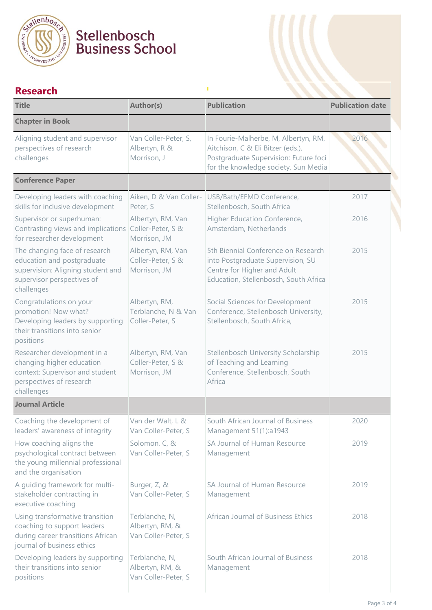

# Stellenbosch<br>Business School

| <b>Research</b>                                                                                                                              |                                                          |                                                                                                                                                            |                         |  |
|----------------------------------------------------------------------------------------------------------------------------------------------|----------------------------------------------------------|------------------------------------------------------------------------------------------------------------------------------------------------------------|-------------------------|--|
| <b>Title</b>                                                                                                                                 | Author(s)                                                | <b>Publication</b>                                                                                                                                         | <b>Publication date</b> |  |
| <b>Chapter in Book</b>                                                                                                                       |                                                          |                                                                                                                                                            |                         |  |
| Aligning student and supervisor<br>perspectives of research<br>challenges                                                                    | Van Coller-Peter, S,<br>Albertyn, R &<br>Morrison, J     | In Fourie-Malherbe, M, Albertyn, RM,<br>Aitchison, C & Eli Bitzer (eds.),<br>Postgraduate Supervision: Future foci<br>for the knowledge society, Sun Media | 2016                    |  |
| <b>Conference Paper</b>                                                                                                                      |                                                          |                                                                                                                                                            |                         |  |
| Developing leaders with coaching<br>skills for inclusive development                                                                         | Aiken, D & Van Coller-<br>Peter, S                       | USB/Bath/EFMD Conference,<br>Stellenbosch, South Africa                                                                                                    | 2017                    |  |
| Supervisor or superhuman:<br>Contrasting views and implications<br>for researcher development                                                | Albertyn, RM, Van<br>Coller-Peter, S &<br>Morrison, JM   | Higher Education Conference,<br>Amsterdam, Netherlands                                                                                                     | 2016                    |  |
| The changing face of research<br>education and postgraduate<br>supervision: Aligning student and<br>supervisor perspectives of<br>challenges | Albertyn, RM, Van<br>Coller-Peter, S &<br>Morrison, JM   | 5th Biennial Conference on Research<br>into Postgraduate Supervision, SU<br>Centre for Higher and Adult<br>Education, Stellenbosch, South Africa           | 2015                    |  |
| Congratulations on your<br>promotion! Now what?<br>Developing leaders by supporting<br>their transitions into senior<br>positions            | Albertyn, RM,<br>Terblanche, N & Van<br>Coller-Peter, S  | Social Sciences for Development<br>Conference, Stellenbosch University,<br>Stellenbosch, South Africa,                                                     | 2015                    |  |
| Researcher development in a<br>changing higher education<br>context: Supervisor and student<br>perspectives of research<br>challenges        | Albertyn, RM, Van<br>Coller-Peter, S &<br>Morrison, JM   | Stellenbosch University Scholarship<br>of Teaching and Learning<br>Conference, Stellenbosch, South<br>Africa                                               | 2015                    |  |
| <b>Journal Article</b>                                                                                                                       |                                                          |                                                                                                                                                            |                         |  |
| Coaching the development of<br>leaders' awareness of integrity                                                                               | Van der Walt, L &<br>Van Coller-Peter, S                 | South African Journal of Business<br>Management 51(1):a1943                                                                                                | 2020                    |  |
| How coaching aligns the<br>psychological contract between<br>the young millennial professional<br>and the organisation                       | Solomon, C, &<br>Van Coller-Peter, S                     | SA Journal of Human Resource<br>Management                                                                                                                 | 2019                    |  |
| A guiding framework for multi-<br>stakeholder contracting in<br>executive coaching                                                           | Burger, Z, &<br>Van Coller-Peter, S                      | SA Journal of Human Resource<br>Management                                                                                                                 | 2019                    |  |
| Using transformative transition<br>coaching to support leaders<br>during career transitions African<br>journal of business ethics            | Terblanche, N,<br>Albertyn, RM, &<br>Van Coller-Peter, S | African Journal of Business Ethics                                                                                                                         | 2018                    |  |
| Developing leaders by supporting<br>their transitions into senior<br>positions                                                               | Terblanche, N,<br>Albertyn, RM, &<br>Van Coller-Peter, S | South African Journal of Business<br>Management                                                                                                            | 2018                    |  |